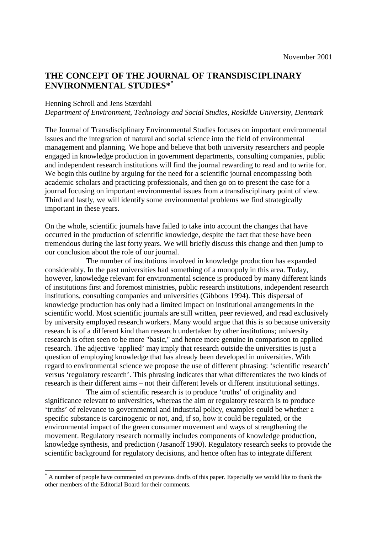# **THE CONCEPT OF THE JOURNAL OF TRANSDISCIPLINARY ENVIRONMENTAL STUDIES\*\***

## Henning Schroll and Jens Stærdahl

l

# *Department of Environment, Technology and Social Studies, Roskilde University, Denmark*

The Journal of Transdisciplinary Environmental Studies focuses on important environmental issues and the integration of natural and social science into the field of environmental management and planning. We hope and believe that both university researchers and people engaged in knowledge production in government departments, consulting companies, public and independent research institutions will find the journal rewarding to read and to write for. We begin this outline by arguing for the need for a scientific journal encompassing both academic scholars and practicing professionals, and then go on to present the case for a journal focusing on important environmental issues from a transdisciplinary point of view. Third and lastly, we will identify some environmental problems we find strategically important in these years.

On the whole, scientific journals have failed to take into account the changes that have occurred in the production of scientific knowledge, despite the fact that these have been tremendous during the last forty years. We will briefly discuss this change and then jump to our conclusion about the role of our journal.

 The number of institutions involved in knowledge production has expanded considerably. In the past universities had something of a monopoly in this area. Today, however, knowledge relevant for environmental science is produced by many different kinds of institutions first and foremost ministries, public research institutions, independent research institutions, consulting companies and universities (Gibbons 1994). This dispersal of knowledge production has only had a limited impact on institutional arrangements in the scientific world. Most scientific journals are still written, peer reviewed, and read exclusively by university employed research workers. Many would argue that this is so because university research is of a different kind than research undertaken by other institutions; university research is often seen to be more "basic," and hence more genuine in comparison to applied research. The adjective 'applied' may imply that research outside the universities is just a question of employing knowledge that has already been developed in universities. With regard to environmental science we propose the use of different phrasing: 'scientific research' versus 'regulatory research'. This phrasing indicates that what differentiates the two kinds of research is their different aims – not their different levels or different institutional settings.

The aim of scientific research is to produce 'truths' of originality and significance relevant to universities, whereas the aim or regulatory research is to produce 'truths' of relevance to governmental and industrial policy, examples could be whether a specific substance is carcinogenic or not, and, if so, how it could be regulated, or the environmental impact of the green consumer movement and ways of strengthening the movement. Regulatory research normally includes components of knowledge production, knowledge synthesis, and prediction (Jasanoff 1990). Regulatory research seeks to provide the scientific background for regulatory decisions, and hence often has to integrate different

<sup>\*</sup> A number of people have commented on previous drafts of this paper. Especially we would like to thank the other members of the Editorial Board for their comments.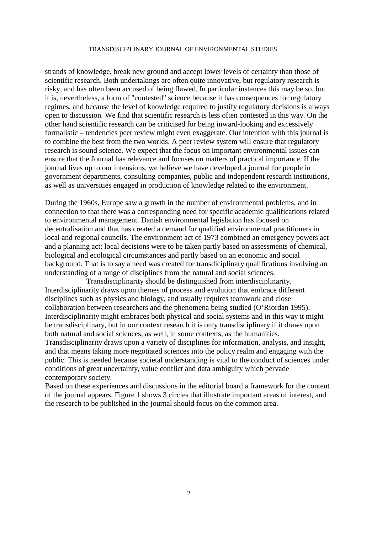strands of knowledge, break new ground and accept lower levels of certainty than those of scientific research. Both undertakings are often quite innovative, but regulatory research is risky, and has often been accused of being flawed. In particular instances this may be so, but it is, nevertheless, a form of "contested" science because it has consequences for regulatory regimes, and because the level of knowledge required to justify regulatory decisions is always open to discussion. We find that scientific research is less often contested in this way. On the other hand scientific research can be criticised for being inward-looking and excessively formalistic – tendencies peer review might even exaggerate. Our intention with this journal is to combine the best from the two worlds. A peer review system will ensure that regulatory research is sound science. We expect that the focus on important environmental issues can ensure that the Journal has relevance and focuses on matters of practical importance. If the journal lives up to our intensions, we believe we have developed a journal for people in government departments, consulting companies, public and independent research institutions, as well as universities engaged in production of knowledge related to the environment.

During the 1960s, Europe saw a growth in the number of environmental problems, and in connection to that there was a corresponding need for specific academic qualifications related to environmental management. Danish environmental legislation has focused on decentralisation and that has created a demand for qualified environmental practitioners in local and regional councils. The environment act of 1973 combined an emergency powers act and a planning act; local decisions were to be taken partly based on assessments of chemical, biological and ecological circumstances and partly based on an economic and social background. That is to say a need was created for transdiciplinary qualifications involving an understanding of a range of disciplines from the natural and social sciences.

Transdisciplinarity should be distinguished from interdisciplinarity. Interdisciplinarity draws upon themes of process and evolution that embrace different disciplines such as physics and biology, and usually requires teamwork and close collaboration between researchers and the phenomena being studied (O'Riordan 1995). Interdisciplinarity might embraces both physical and social systems and in this way it might be transdisciplinary, but in our context research it is only transdisciplinary if it draws upon both natural and social sciences, as well, in some contexts, as the humanities. Transdisciplinarity draws upon a variety of disciplines for information, analysis, and insight, and that means taking more negotiated sciences into the policy realm and engaging with the

public. This is needed because societal understanding is vital to the conduct of sciences under conditions of great uncertainty, value conflict and data ambiguity which pervade contemporary society.

Based on these experiences and discussions in the editorial board a framework for the content of the journal appears. Figure 1 shows 3 circles that illustrate important areas of interest, and the research to be published in the journal should focus on the common area.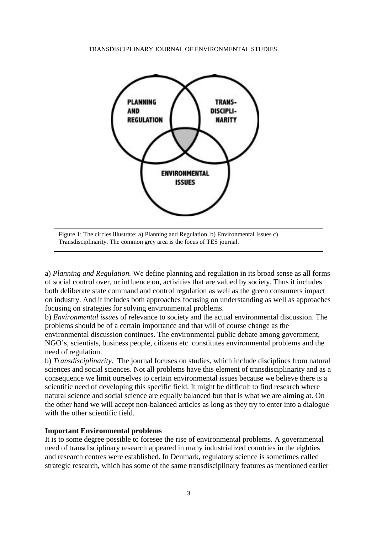

Figure 1: The circles illustrate: a) Planning and Regulation, b) Environmental Issues c) Transdisciplinarity. The common grey area is the focus of TES journal.

a) *Planning and Regulation.* We define planning and regulation in its broad sense as all forms of social control over, or influence on, activities that are valued by society. Thus it includes both deliberate state command and control regulation as well as the green consumers impact on industry. And it includes both approaches focusing on understanding as well as approaches focusing on strategies for solving environmental problems.

b) *Environmental issues* of relevance to society and the actual environmental discussion. The problems should be of a certain importance and that will of course change as the environmental discussion continues. The environmental public debate among government, NGO's, scientists, business people, citizens etc. constitutes environmental problems and the need of regulation.

b) *Transdisciplinarity*. The journal focuses on studies, which include disciplines from natural sciences and social sciences. Not all problems have this element of transdisciplinarity and as a consequence we limit ourselves to certain environmental issues because we believe there is a scientific need of developing this specific field. It might be difficult to find research where natural science and social science are equally balanced but that is what we are aiming at. On the other hand we will accept non-balanced articles as long as they try to enter into a dialogue with the other scientific field.

## **Important Environmental problems**

It is to some degree possible to foresee the rise of environmental problems. A governmental need of transdisciplinary research appeared in many industrialized countries in the eighties and research centres were established. In Denmark, regulatory science is sometimes called strategic research, which has some of the same transdisciplinary features as mentioned earlier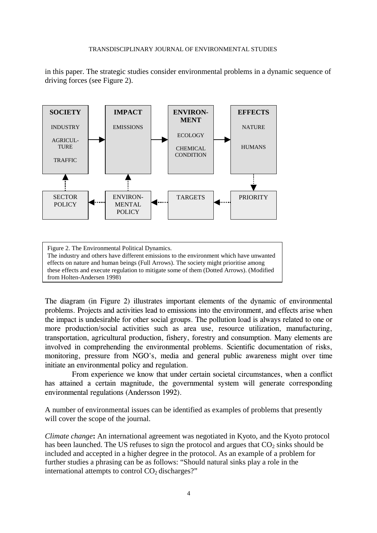in this paper. The strategic studies consider environmental problems in a dynamic sequence of driving forces (see Figure 2).



Figure 2. The Environmental Political Dynamics. The industry and others have different emissions to the environment which have unwanted effects on nature and human beings (Full Arrows). The society might prioritise among these effects and execute regulation to mitigate some of them (Dotted Arrows). (Modified from Holten-Andersen 1998)

The diagram (in Figure 2) illustrates important elements of the dynamic of environmental problems. Projects and activities lead to emissions into the environment, and effects arise when the impact is undesirable for other social groups. The pollution load is always related to one or more production/social activities such as area use, resource utilization, manufacturing, transportation, agricultural production, fishery, forestry and consumption. Many elements are involved in comprehending the environmental problems. Scientific documentation of risks, monitoring, pressure from NGO's, media and general public awareness might over time initiate an environmental policy and regulation.

From experience we know that under certain societal circumstances, when a conflict has attained a certain magnitude, the governmental system will generate corresponding environmental regulations (Andersson 1992).

A number of environmental issues can be identified as examples of problems that presently will cover the scope of the journal.

*Climate change***:** An international agreement was negotiated in Kyoto, and the Kyoto protocol has been launched. The US refuses to sign the protocol and argues that  $CO<sub>2</sub>$  sinks should be included and accepted in a higher degree in the protocol. As an example of a problem for further studies a phrasing can be as follows: "Should natural sinks play a role in the international attempts to control  $CO<sub>2</sub>$  discharges?"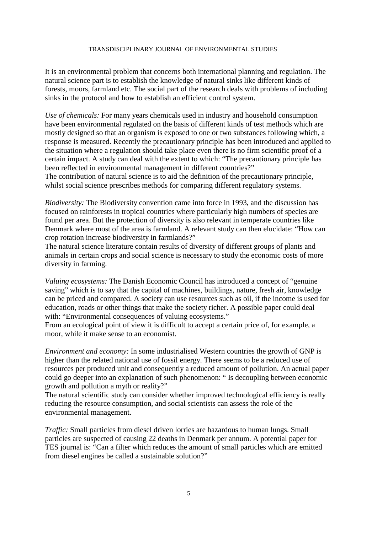It is an environmental problem that concerns both international planning and regulation. The natural science part is to establish the knowledge of natural sinks like different kinds of forests, moors, farmland etc. The social part of the research deals with problems of including sinks in the protocol and how to establish an efficient control system.

*Use of chemicals:* For many years chemicals used in industry and household consumption have been environmental regulated on the basis of different kinds of test methods which are mostly designed so that an organism is exposed to one or two substances following which, a response is measured. Recently the precautionary principle has been introduced and applied to the situation where a regulation should take place even there is no firm scientific proof of a certain impact. A study can deal with the extent to which: "The precautionary principle has been reflected in environmental management in different countries?"

The contribution of natural science is to aid the definition of the precautionary principle, whilst social science prescribes methods for comparing different regulatory systems.

*Biodiversity:* The Biodiversity convention came into force in 1993, and the discussion has focused on rainforests in tropical countries where particularly high numbers of species are found per area. But the protection of diversity is also relevant in temperate countries like Denmark where most of the area is farmland. A relevant study can then elucidate: "How can crop rotation increase biodiversity in farmlands?"

The natural science literature contain results of diversity of different groups of plants and animals in certain crops and social science is necessary to study the economic costs of more diversity in farming.

*Valuing ecosystems:* The Danish Economic Council has introduced a concept of "genuine saving" which is to say that the capital of machines, buildings, nature, fresh air, knowledge can be priced and compared. A society can use resources such as oil, if the income is used for education, roads or other things that make the society richer. A possible paper could deal with: "Environmental consequences of valuing ecosystems."

From an ecological point of view it is difficult to accept a certain price of, for example, a moor, while it make sense to an economist.

*Environment and economy:* In some industrialised Western countries the growth of GNP is higher than the related national use of fossil energy. There seems to be a reduced use of resources per produced unit and consequently a reduced amount of pollution. An actual paper could go deeper into an explanation of such phenomenon: " Is decoupling between economic growth and pollution a myth or reality?"

The natural scientific study can consider whether improved technological efficiency is really reducing the resource consumption, and social scientists can assess the role of the environmental management.

*Traffic:* Small particles from diesel driven lorries are hazardous to human lungs. Small particles are suspected of causing 22 deaths in Denmark per annum. A potential paper for TES journal is: "Can a filter which reduces the amount of small particles which are emitted from diesel engines be called a sustainable solution?"